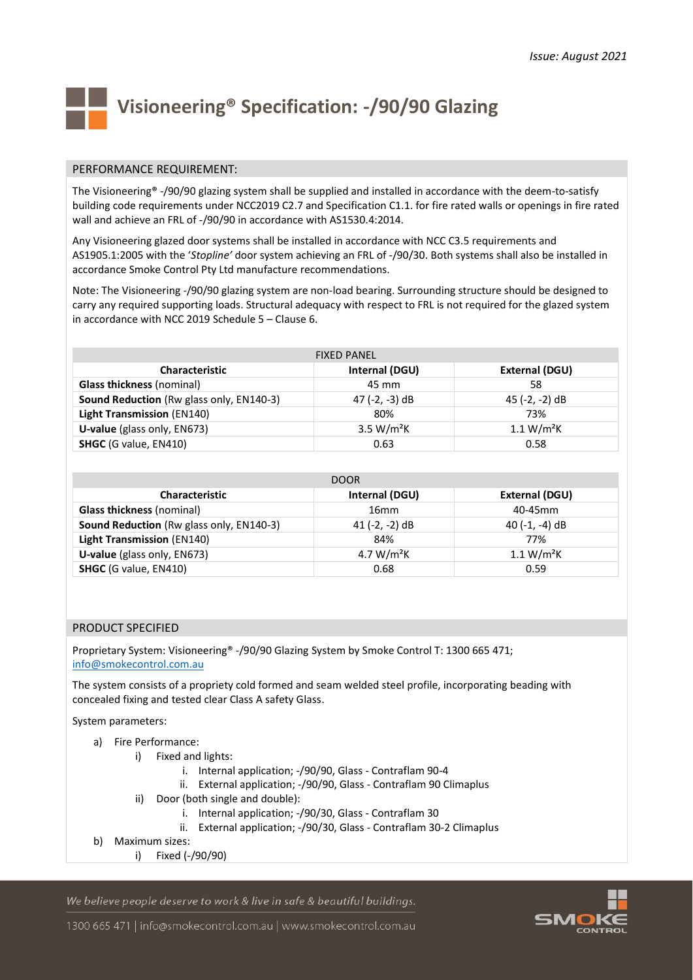

# **Visioneering® Specification: -/90/90 Glazing**

#### PERFORMANCE REQUIREMENT:

The Visioneering® -/90/90 glazing system shall be supplied and installed in accordance with the deem-to-satisfy building code requirements under NCC2019 C2.7 and Specification C1.1. for fire rated walls or openings in fire rated wall and achieve an FRL of -/90/90 in accordance with AS1530.4:2014.

Any Visioneering glazed door systems shall be installed in accordance with NCC C3.5 requirements and AS1905.1:2005 with the '*Stopline'* door system achieving an FRL of -/90/30. Both systems shall also be installed in accordance Smoke Control Pty Ltd manufacture recommendations.

Note: The Visioneering -/90/90 glazing system are non-load bearing. Surrounding structure should be designed to carry any required supporting loads. Structural adequacy with respect to FRL is not required for the glazed system in accordance with NCC 2019 Schedule 5 – Clause 6.

| <b>FIXED PANEL</b>                       |                        |                        |
|------------------------------------------|------------------------|------------------------|
| <b>Characteristic</b>                    | Internal (DGU)         | External (DGU)         |
| <b>Glass thickness (nominal)</b>         | 45 mm                  | 58                     |
| Sound Reduction (Rw glass only, EN140-3) | 47 (-2, -3) dB         | 45 (-2, -2) dB         |
| <b>Light Transmission (EN140)</b>        | 80%                    | 73%                    |
| U-value (glass only, EN673)              | 3.5 W/m <sup>2</sup> K | 1.1 W/m <sup>2</sup> K |
| <b>SHGC</b> (G value, EN410)             | 0.63                   | 0.58                   |

| DOOR                                     |                  |                        |
|------------------------------------------|------------------|------------------------|
| <b>Characteristic</b>                    | Internal (DGU)   | External (DGU)         |
| <b>Glass thickness (nominal)</b>         | 16 <sub>mm</sub> | 40-45mm                |
| Sound Reduction (Rw glass only, EN140-3) | 41 (-2, -2) dB   | 40 (-1, -4) dB         |
| <b>Light Transmission (EN140)</b>        | 84%              | 77%                    |
| U-value (glass only, EN673)              | 4.7 $W/m^2K$     | 1.1 W/m <sup>2</sup> K |
| <b>SHGC</b> (G value, EN410)             | 0.68             | 0.59                   |

#### PRODUCT SPECIFIED

Proprietary System: Visioneering® -/90/90 Glazing System by Smoke Control T: 1300 665 471; [info@smokecontrol.com.au](mailto:info@smokecontrol.com.au)

The system consists of a propriety cold formed and seam welded steel profile, incorporating beading with concealed fixing and tested clear Class A safety Glass.

System parameters:

- a) Fire Performance:
	- i) Fixed and lights:
		- i. Internal application; -/90/90, Glass Contraflam 90-4
		- ii. External application; -/90/90, Glass Contraflam 90 Climaplus
	- ii) Door (both single and double):
		- i. Internal application; -/90/30, Glass Contraflam 30
		- ii. External application; -/90/30, Glass Contraflam 30-2 Climaplus
- b) Maximum sizes:
	- i) Fixed (-/90/90)

We believe people deserve to work & live in safe & beautiful buildings.



1300 665 471 | info@smokecontrol.com.au | www.smokecontrol.com.au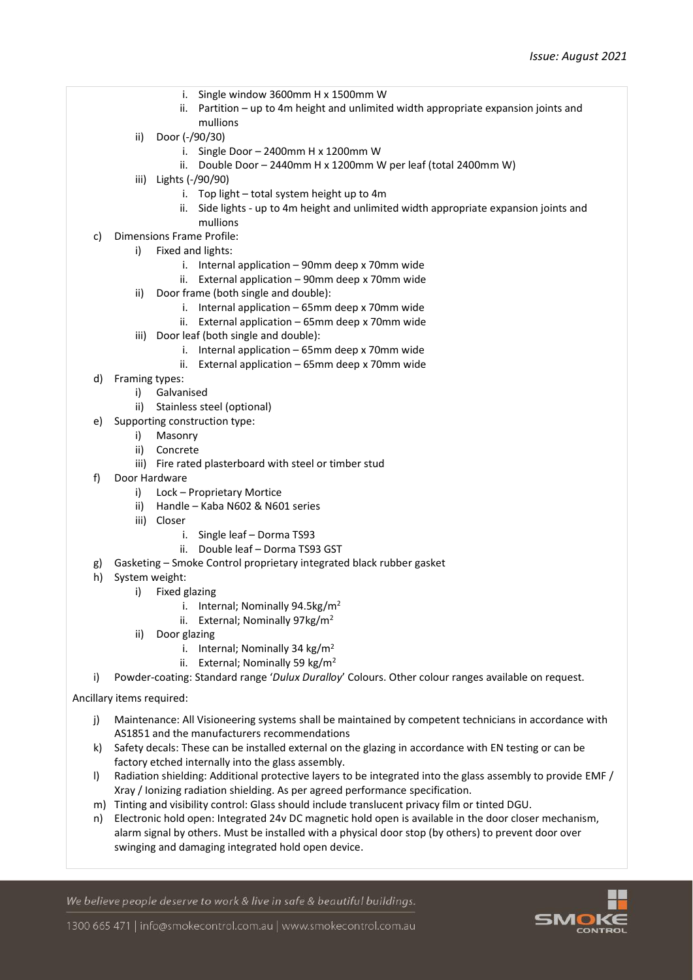- i. Single window 3600mm H x 1500mm W
- ii. Partition up to 4m height and unlimited width appropriate expansion joints and mullions
- ii) Door (-/90/30)
	- i. Single Door 2400mm H x 1200mm W
	- ii. Double Door 2440mm H x 1200mm W per leaf (total 2400mm W)
- iii) Lights (-/90/90)
	- i. Top light total system height up to 4m
	- ii. Side lights up to 4m height and unlimited width appropriate expansion joints and mullions
- c) Dimensions Frame Profile:
	- i) Fixed and lights:
		- i. Internal application 90mm deep x 70mm wide
		- ii. External application 90mm deep x 70mm wide
	- ii) Door frame (both single and double):
		- i. Internal application 65mm deep x 70mm wide
		- ii. External application 65mm deep x 70mm wide
	- iii) Door leaf (both single and double):
		- i. Internal application 65mm deep x 70mm wide
		- ii. External application 65mm deep x 70mm wide
- d) Framing types:
	- i) Galvanised
	- ii) Stainless steel (optional)
- e) Supporting construction type:
	- i) Masonry
	- ii) Concrete
		- iii) Fire rated plasterboard with steel or timber stud
- f) Door Hardware
	- i) Lock Proprietary Mortice
	- ii) Handle Kaba N602 & N601 series
	- iii) Closer
		- i. Single leaf Dorma TS93
		- ii. Double leaf Dorma TS93 GST
- g) Gasketing Smoke Control proprietary integrated black rubber gasket
- h) System weight:
	- i) Fixed glazing
		- i. Internal; Nominally 94.5kg/m<sup>2</sup>
		- ii. External; Nominally 97kg/m<sup>2</sup>
	- ii) Door glazing
		- i. Internal; Nominally 34 kg/m<sup>2</sup>
		- ii. External; Nominally 59 kg/m<sup>2</sup>
- i) Powder-coating: Standard range '*Dulux Duralloy*' Colours. Other colour ranges available on request.

Ancillary items required:

- j) Maintenance: All Visioneering systems shall be maintained by competent technicians in accordance with AS1851 and the manufacturers recommendations
- k) Safety decals: These can be installed external on the glazing in accordance with EN testing or can be factory etched internally into the glass assembly.
- l) Radiation shielding: Additional protective layers to be integrated into the glass assembly to provide EMF / Xray / Ionizing radiation shielding. As per agreed performance specification.
- m) Tinting and visibility control: Glass should include translucent privacy film or tinted DGU.
- n) Electronic hold open: Integrated 24v DC magnetic hold open is available in the door closer mechanism, alarm signal by others. Must be installed with a physical door stop (by others) to prevent door over swinging and damaging integrated hold open device.

We believe people deserve to work & live in safe & beautiful buildings.



1300 665 471 | info@smokecontrol.com.au | www.smokecontrol.com.au